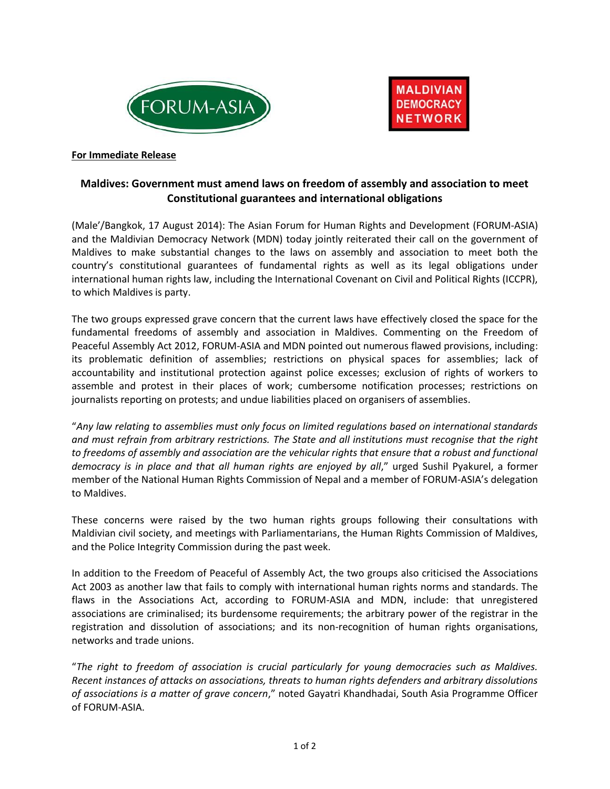



#### **For Immediate Release**

# **Maldives: Government must amend laws on freedom of assembly and association to meet Constitutional guarantees and international obligations**

(Male'/Bangkok, 17 August 2014): The Asian Forum for Human Rights and Development (FORUM-ASIA) and the Maldivian Democracy Network (MDN) today jointly reiterated their call on the government of Maldives to make substantial changes to the laws on assembly and association to meet both the country's constitutional guarantees of fundamental rights as well as its legal obligations under international human rights law, including the International Covenant on Civil and Political Rights (ICCPR), to which Maldives is party.

The two groups expressed grave concern that the current laws have effectively closed the space for the fundamental freedoms of assembly and association in Maldives. Commenting on the Freedom of Peaceful Assembly Act 2012, FORUM-ASIA and MDN pointed out numerous flawed provisions, including: its problematic definition of assemblies; restrictions on physical spaces for assemblies; lack of accountability and institutional protection against police excesses; exclusion of rights of workers to assemble and protest in their places of work; cumbersome notification processes; restrictions on journalists reporting on protests; and undue liabilities placed on organisers of assemblies.

"*Any law relating to assemblies must only focus on limited regulations based on international standards and must refrain from arbitrary restrictions. The State and all institutions must recognise that the right to freedoms of assembly and association are the vehicular rights that ensure that a robust and functional democracy is in place and that all human rights are enjoyed by all*," urged Sushil Pyakurel, a former member of the National Human Rights Commission of Nepal and a member of FORUM-ASIA's delegation to Maldives.

These concerns were raised by the two human rights groups following their consultations with Maldivian civil society, and meetings with Parliamentarians, the Human Rights Commission of Maldives, and the Police Integrity Commission during the past week.

In addition to the Freedom of Peaceful of Assembly Act, the two groups also criticised the Associations Act 2003 as another law that fails to comply with international human rights norms and standards. The flaws in the Associations Act, according to FORUM-ASIA and MDN, include: that unregistered associations are criminalised; its burdensome requirements; the arbitrary power of the registrar in the registration and dissolution of associations; and its non-recognition of human rights organisations, networks and trade unions.

"*The right to freedom of association is crucial particularly for young democracies such as Maldives. Recent instances of attacks on associations, threats to human rights defenders and arbitrary dissolutions of associations is a matter of grave concern*," noted Gayatri Khandhadai, South Asia Programme Officer of FORUM-ASIA.